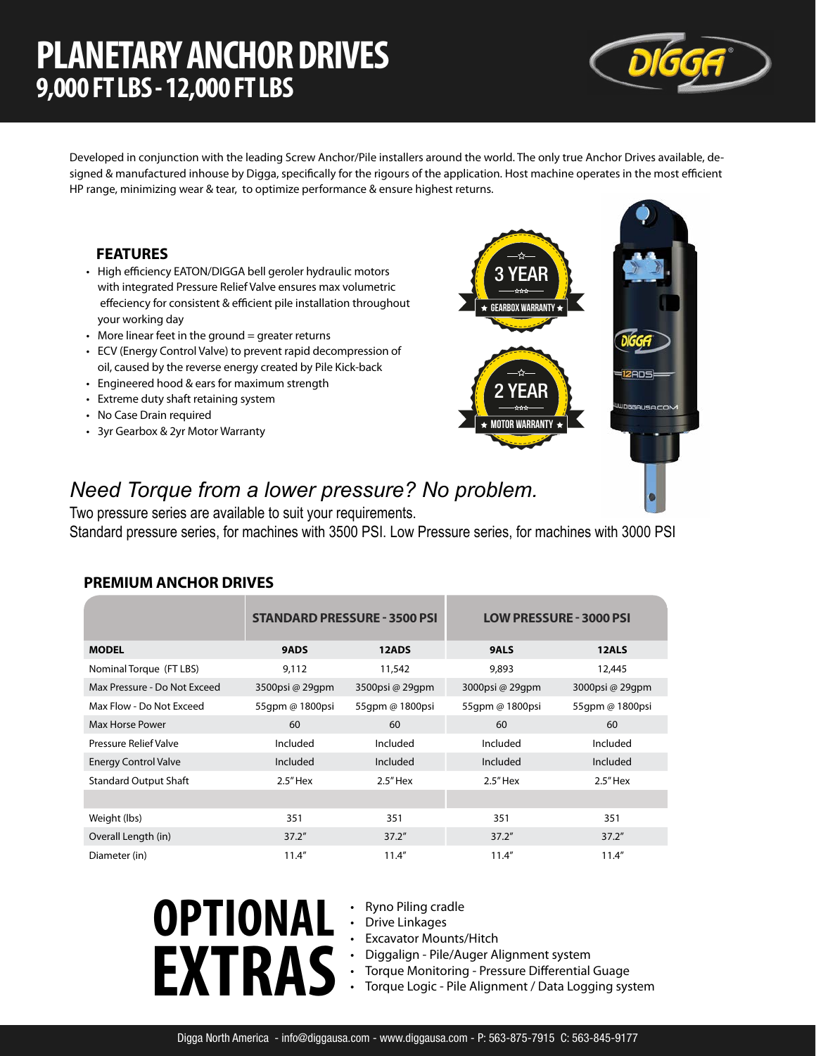## **PLANETARY ANCHOR DRIVES 9,000 FT LBS - 12,000 FT LBS**



Developed in conjunction with the leading Screw Anchor/Pile installers around the world. The only true Anchor Drives available, designed & manufactured inhouse by Digga, specifically for the rigours of the application. Host machine operates in the most efficient HP range, minimizing wear & tear, to optimize performance & ensure highest returns.

#### **FEATURES**

- High efficiency EATON/DIGGA bell geroler hydraulic motors with integrated Pressure Relief Valve ensures max volumetric effeciency for consistent & efficient pile installation throughout your working day
- $\cdot$  More linear feet in the ground = greater returns
- ECV (Energy Control Valve) to prevent rapid decompression of oil, caused by the reverse energy created by Pile Kick-back
- Engineered hood & ears for maximum strength
- Extreme duty shaft retaining system
- No Case Drain required
- 3yr Gearbox & 2yr Motor Warranty



### *Need Torque from a lower pressure? No problem.*

Two pressure series are available to suit your requirements. Standard pressure series, for machines with 3500 PSI. Low Pressure series, for machines with 3000 PSI

#### **PREMIUM ANCHOR DRIVES**

|                              |                 | <b>STANDARD PRESSURE - 3500 PSI</b> | <b>LOW PRESSURE - 3000 PSI</b> |                 |  |
|------------------------------|-----------------|-------------------------------------|--------------------------------|-----------------|--|
| <b>MODEL</b>                 | 9ADS            | 12ADS                               | <b>9ALS</b>                    | 12ALS           |  |
| Nominal Torque (FT LBS)      | 9,112           | 11,542                              | 9,893                          | 12,445          |  |
| Max Pressure - Do Not Exceed | 3500psi @ 29qpm | 3500psi @ 29qpm                     | 3000psi @ 29qpm                | 3000psi @ 29qpm |  |
| Max Flow - Do Not Exceed     | 55qpm @ 1800psi | 55qpm @ 1800psi                     | 55qpm @ 1800psi                | 55qpm @ 1800psi |  |
| Max Horse Power              | 60              | 60                                  | 60                             | 60              |  |
| <b>Pressure Relief Valve</b> | Included        | Included                            | Included                       | Included        |  |
| <b>Energy Control Valve</b>  | Included        | Included                            | Included                       | Included        |  |
| <b>Standard Output Shaft</b> | $2.5"$ Hex      | $2.5"$ Hex                          | $2.5"$ Hex                     | $2.5"$ Hex      |  |
|                              |                 |                                     |                                |                 |  |
| Weight (lbs)                 | 351             | 351                                 | 351                            | 351             |  |
| Overall Length (in)          | 37.2"           | 37.2''                              | 37.2"                          | 37.2"           |  |
| Diameter (in)                | 11.4''          | 11.4''                              | 11.4''                         | 11.4''          |  |

- **OPTIONAL EXTRAS**
- Ryno Piling cradle
- Drive Linkages
- **Excavator Mounts/Hitch**
- Diggalign Pile/Auger Alignment system
- Torque Monitoring Pressure Differential Guage
- Torque Logic Pile Alignment / Data Logging system